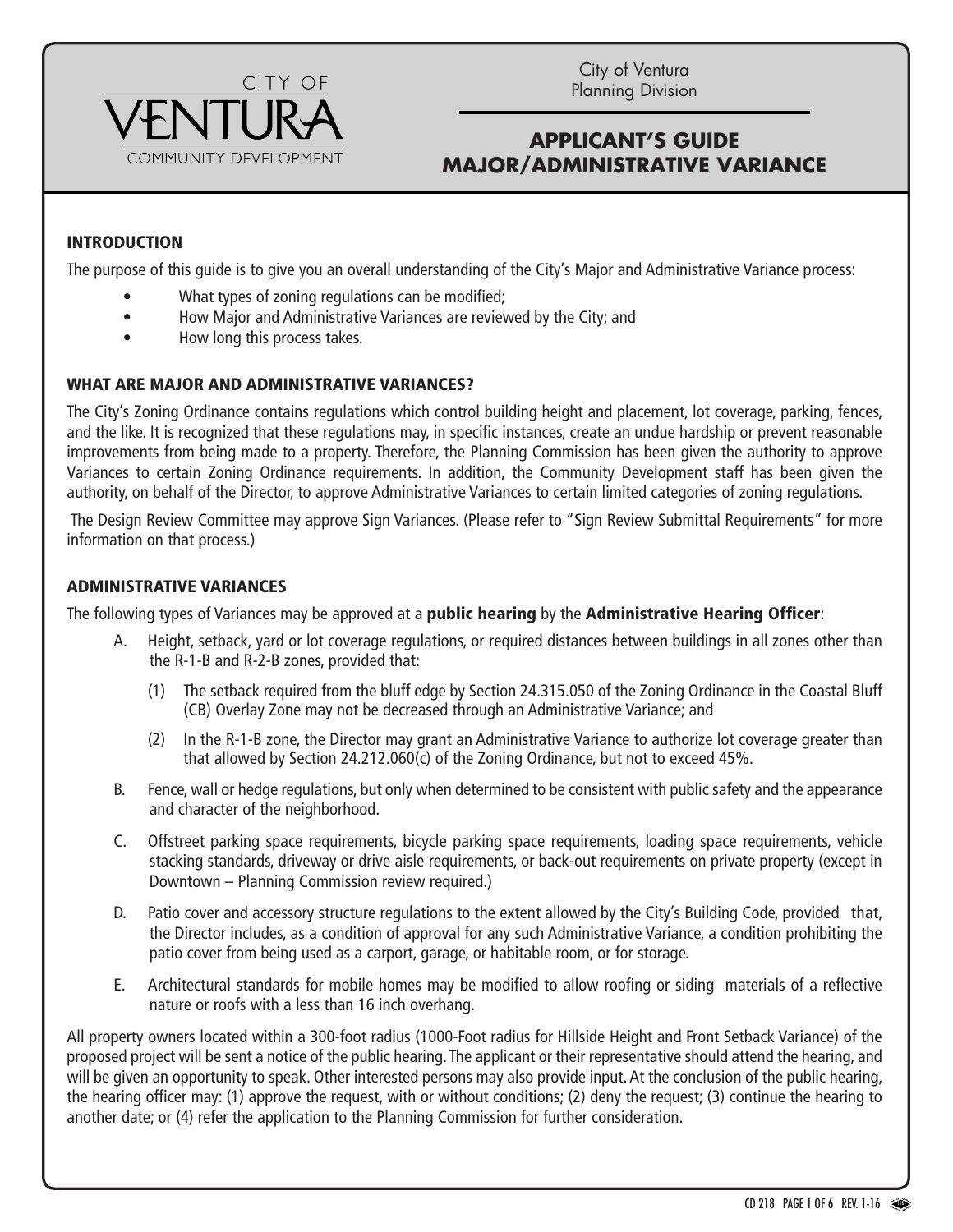

City of Ventura Planning Division

# **APPLICANT'S GUIDE MAJOR/ADMINISTRATIVE VARIANCE**

## INTRODUCTION

The purpose of this guide is to give you an overall understanding of the City's Major and Administrative Variance process:

- What types of zoning regulations can be modified;
- How Major and Administrative Variances are reviewed by the City; and
- How long this process takes.

#### WHAT ARE MAJOR AND ADMINISTRATIVE VARIANCES?

The City's Zoning Ordinance contains regulations which control building height and placement, lot coverage, parking, fences, and the like. It is recognized that these regulations may, in specific instances, create an undue hardship or prevent reasonable improvements from being made to a property. Therefore, the Planning Commission has been given the authority to approve Variances to certain Zoning Ordinance requirements. In addition, the Community Development staff has been given the authority, on behalf of the Director, to approve Administrative Variances to certain limited categories of zoning regulations.

The Design Review Committee may approve Sign Variances. (Please refer to "Sign Review Submittal Requirements" for more information on that process.)

#### ADMINISTRATIVE VARIANCES

The following types of Variances may be approved at a public hearing by the Administrative Hearing Officer:

- A. Height, setback, yard or lot coverage regulations, or required distances between buildings in all zones other than the R-1-B and R-2-B zones, provided that:
	- (1) The setback required from the bluff edge by Section 24.315.050 of the Zoning Ordinance in the Coastal Bluff (CB) Overlay Zone may not be decreased through an Administrative Variance; and
	- (2) In the R-1-B zone, the Director may grant an Administrative Variance to authorize lot coverage greater than that allowed by Section 24.212.060(c) of the Zoning Ordinance, but not to exceed 45%.
- B. Fence, wall or hedge regulations, but only when determined to be consistent with public safety and the appearance and character of the neighborhood.
- C. Offstreet parking space requirements, bicycle parking space requirements, loading space requirements, vehicle stacking standards, driveway or drive aisle requirements, or back-out requirements on private property (except in Downtown – Planning Commission review required.)
- D. Patio cover and accessory structure regulations to the extent allowed by the City's Building Code, provided that, the Director includes, as a condition of approval for any such Administrative Variance, a condition prohibiting the patio cover from being used as a carport, garage, or habitable room, or for storage.
- E. Architectural standards for mobile homes may be modified to allow roofing or siding materials of a reflective nature or roofs with a less than 16 inch overhang.

All property owners located within a 300-foot radius (1000-Foot radius for Hillside Height and Front Setback Variance) of the proposed project will be sent a notice of the public hearing. The applicant or their representative should attend the hearing, and will be given an opportunity to speak. Other interested persons may also provide input. At the conclusion of the public hearing, the hearing officer may: (1) approve the request, with or without conditions; (2) deny the request; (3) continue the hearing to another date; or (4) refer the application to the Planning Commission for further consideration.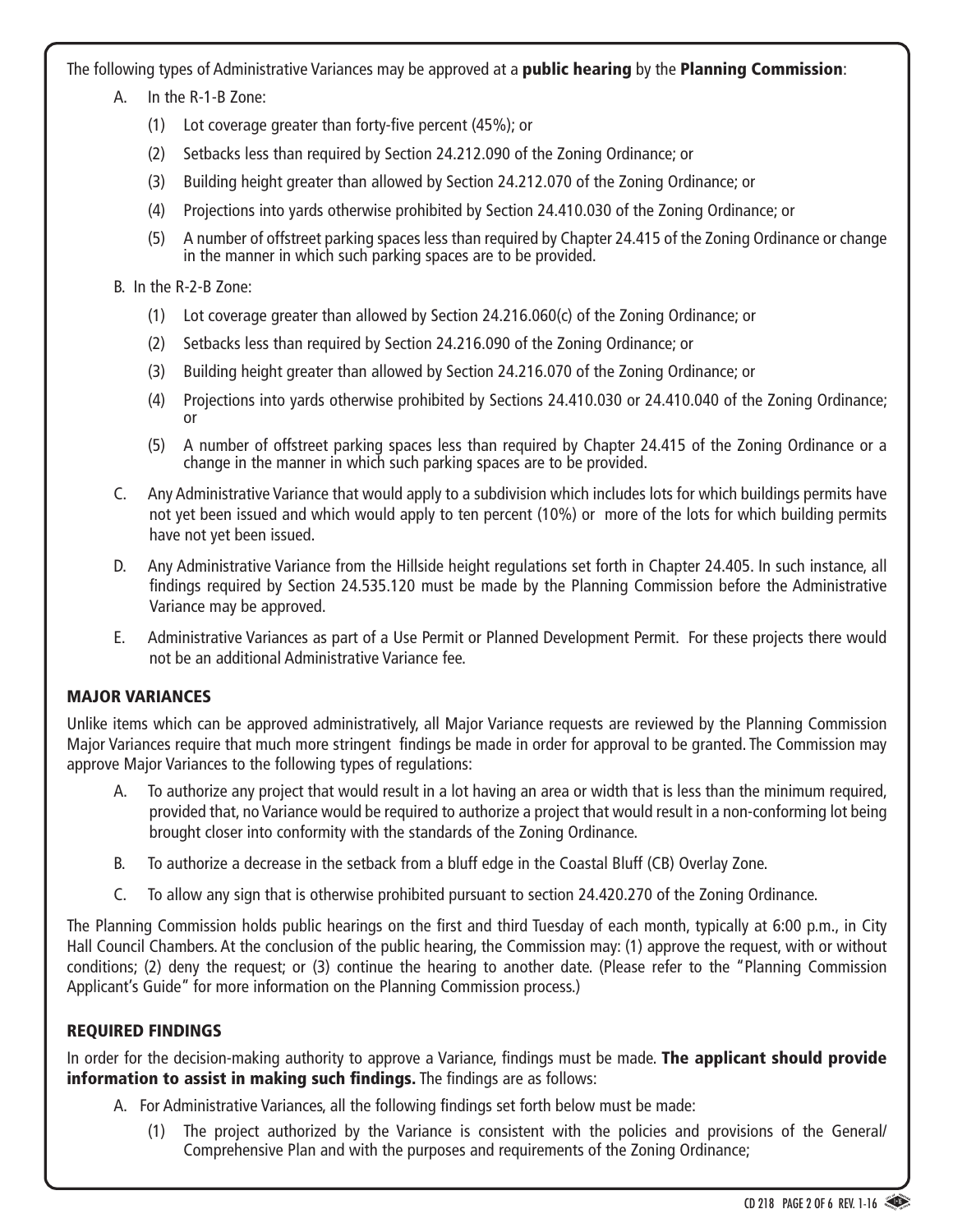The following types of Administrative Variances may be approved at a **public hearing** by the **Planning Commission**:

- A. In the R-1-B Zone:
	- (1) Lot coverage greater than forty-five percent  $(45%)$ ; or
	- (2) Setbacks less than required by Section 24.212.090 of the Zoning Ordinance; or
	- (3) Building height greater than allowed by Section 24.212.070 of the Zoning Ordinance; or
	- (4) Projections into yards otherwise prohibited by Section 24.410.030 of the Zoning Ordinance; or
	- (5) A number of offstreet parking spaces less than required by Chapter 24.415 of the Zoning Ordinance or change in the manner in which such parking spaces are to be provided.
- B. In the R-2-B Zone:
	- (1) Lot coverage greater than allowed by Section 24.216.060(c) of the Zoning Ordinance; or
	- (2) Setbacks less than required by Section 24.216.090 of the Zoning Ordinance; or
	- (3) Building height greater than allowed by Section 24.216.070 of the Zoning Ordinance; or
	- (4) Projections into yards otherwise prohibited by Sections 24.410.030 or 24.410.040 of the Zoning Ordinance; or
	- (5) A number of offstreet parking spaces less than required by Chapter 24.415 of the Zoning Ordinance or a change in the manner in which such parking spaces are to be provided.
- C. Any Administrative Variance that would apply to a subdivision which includes lots for which buildings permits have not yet been issued and which would apply to ten percent (10%) or more of the lots for which building permits have not yet been issued.
- D. Any Administrative Variance from the Hillside height regulations set forth in Chapter 24.405. In such instance, all findings required by Section 24.535.120 must be made by the Planning Commission before the Administrative Variance may be approved.
- E. Administrative Variances as part of a Use Permit or Planned Development Permit. For these projects there would not be an additional Administrative Variance fee.

#### MAJOR VARIANCES

Unlike items which can be approved administratively, all Major Variance requests are reviewed by the Planning Commission Major Variances require that much more stringent findings be made in order for approval to be granted. The Commission may approve Major Variances to the following types of regulations:

- A. To authorize any project that would result in a lot having an area or width that is less than the minimum required, provided that, no Variance would be required to authorize a project that would result in a non-conforming lot being brought closer into conformity with the standards of the Zoning Ordinance.
- B. To authorize a decrease in the setback from a bluff edge in the Coastal Bluff (CB) Overlay Zone.
- C. To allow any sign that is otherwise prohibited pursuant to section 24.420.270 of the Zoning Ordinance.

The Planning Commission holds public hearings on the first and third Tuesday of each month, typically at 6:00 p.m., in City Hall Council Chambers. At the conclusion of the public hearing, the Commission may: (1) approve the request, with or without conditions; (2) deny the request; or (3) continue the hearing to another date. (Please refer to the "Planning Commission Applicant's Guide" for more information on the Planning Commission process.)

# REQUIRED FINDINGS

In order for the decision-making authority to approve a Variance, findings must be made. The applicant should provide information to assist in making such findings. The findings are as follows:

- A. For Administrative Variances, all the following findings set forth below must be made:
	- (1) The project authorized by the Variance is consistent with the policies and provisions of the General/ Comprehensive Plan and with the purposes and requirements of the Zoning Ordinance;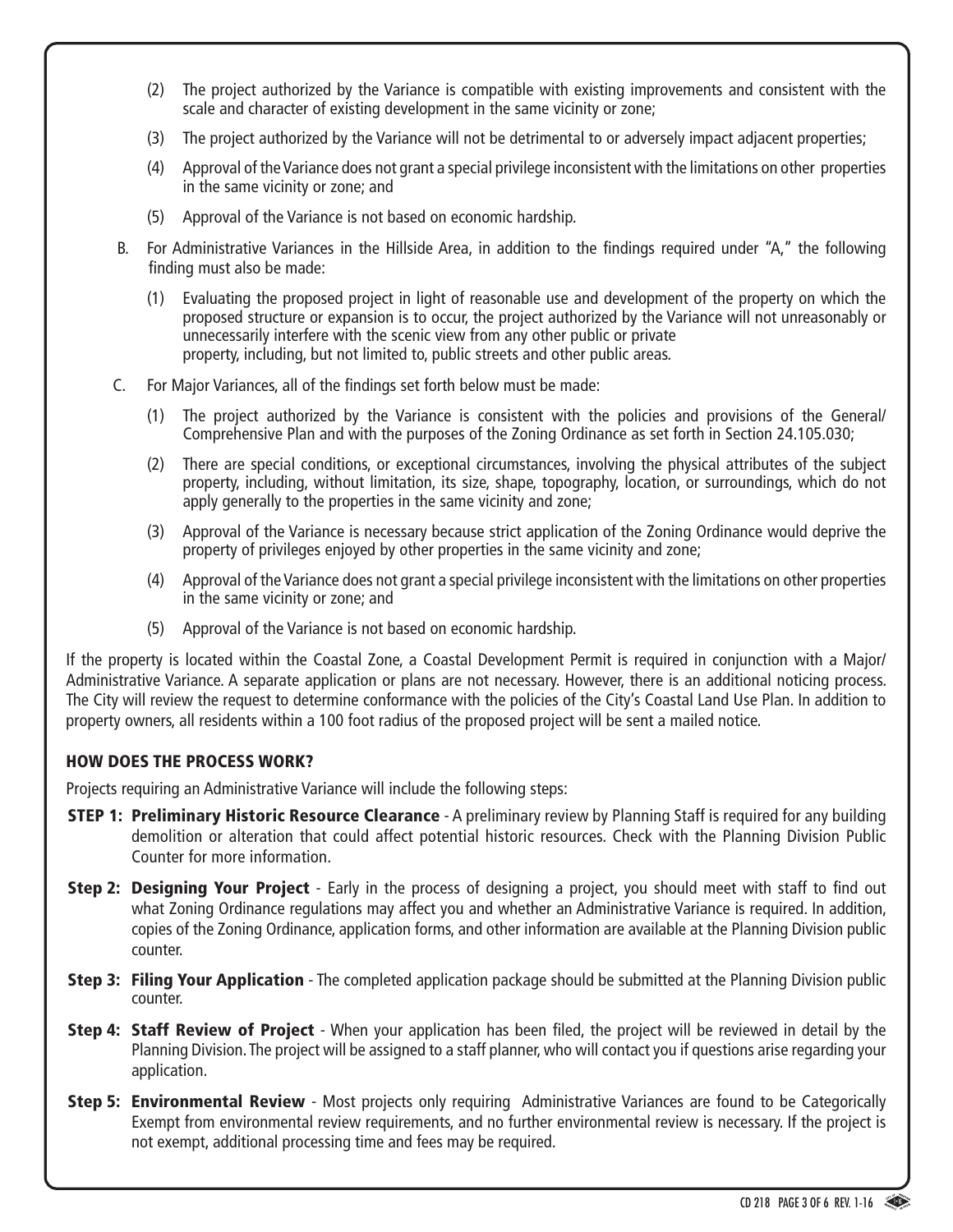- (2) The project authorized by the Variance is compatible with existing improvements and consistent with the scale and character of existing development in the same vicinity or zone;
- (3) The project authorized by the Variance will not be detrimental to or adversely impact adjacent properties;
- (4) Approval of theVariance does not grant a special privilege inconsistent with the limitations on other properties in the same vicinity or zone; and
- (5) Approval of the Variance is not based on economic hardship.
- B. For Administrative Variances in the Hillside Area, in addition to the findings required under "A," the following finding must also be made:
	- (1) Evaluating the proposed project in light of reasonable use and development of the property on which the proposed structure or expansion is to occur, the project authorized by the Variance will not unreasonably or unnecessarily interfere with the scenic view from any other public or private property, including, but not limited to, public streets and other public areas.
- C. For Major Variances, all of the findings set forth below must be made:
	- (1) The project authorized by the Variance is consistent with the policies and provisions of the General/ Comprehensive Plan and with the purposes of the Zoning Ordinance as set forth in Section 24.105.030;
	- (2) There are special conditions, or exceptional circumstances, involving the physical attributes of the subject property, including, without limitation, its size, shape, topography, location, or surroundings, which do not apply generally to the properties in the same vicinity and zone;
	- (3) Approval of the Variance is necessary because strict application of the Zoning Ordinance would deprive the property of privileges enjoyed by other properties in the same vicinity and zone;
	- (4) Approval of theVariance does not grant a special privilege inconsistent with the limitations on other properties in the same vicinity or zone; and
	- (5) Approval of the Variance is not based on economic hardship.

If the property is located within the Coastal Zone, a Coastal Development Permit is required in conjunction with a Major/ Administrative Variance. A separate application or plans are not necessary. However, there is an additional noticing process. The City will review the request to determine conformance with the policies of the City's Coastal Land Use Plan. In addition to property owners, all residents within a 100 foot radius of the proposed project will be sent a mailed notice.

#### HOW DOES THE PROCESS WORK?

Projects requiring an Administrative Variance will include the following steps:

- **STEP 1: Preliminary Historic Resource Clearance** A preliminary review by Planning Staff is required for any building demolition or alteration that could affect potential historic resources. Check with the Planning Division Public Counter for more information.
- **Step 2: Designing Your Project** Early in the process of designing a project, you should meet with staff to find out what Zoning Ordinance regulations may affect you and whether an Administrative Variance is required. In addition, copies of the Zoning Ordinance, application forms, and other information are available at the Planning Division public counter.
- **Step 3: Filing Your Application** The completed application package should be submitted at the Planning Division public counter.
- **Step 4: Staff Review of Project** When your application has been filed, the project will be reviewed in detail by the Planning Division.The project will be assigned to a staff planner,who will contact you if questions arise regarding your application.
- **Step 5: Environmental Review** Most projects only requiring Administrative Variances are found to be Categorically Exempt from environmental review requirements, and no further environmental review is necessary. If the project is not exempt, additional processing time and fees may be required.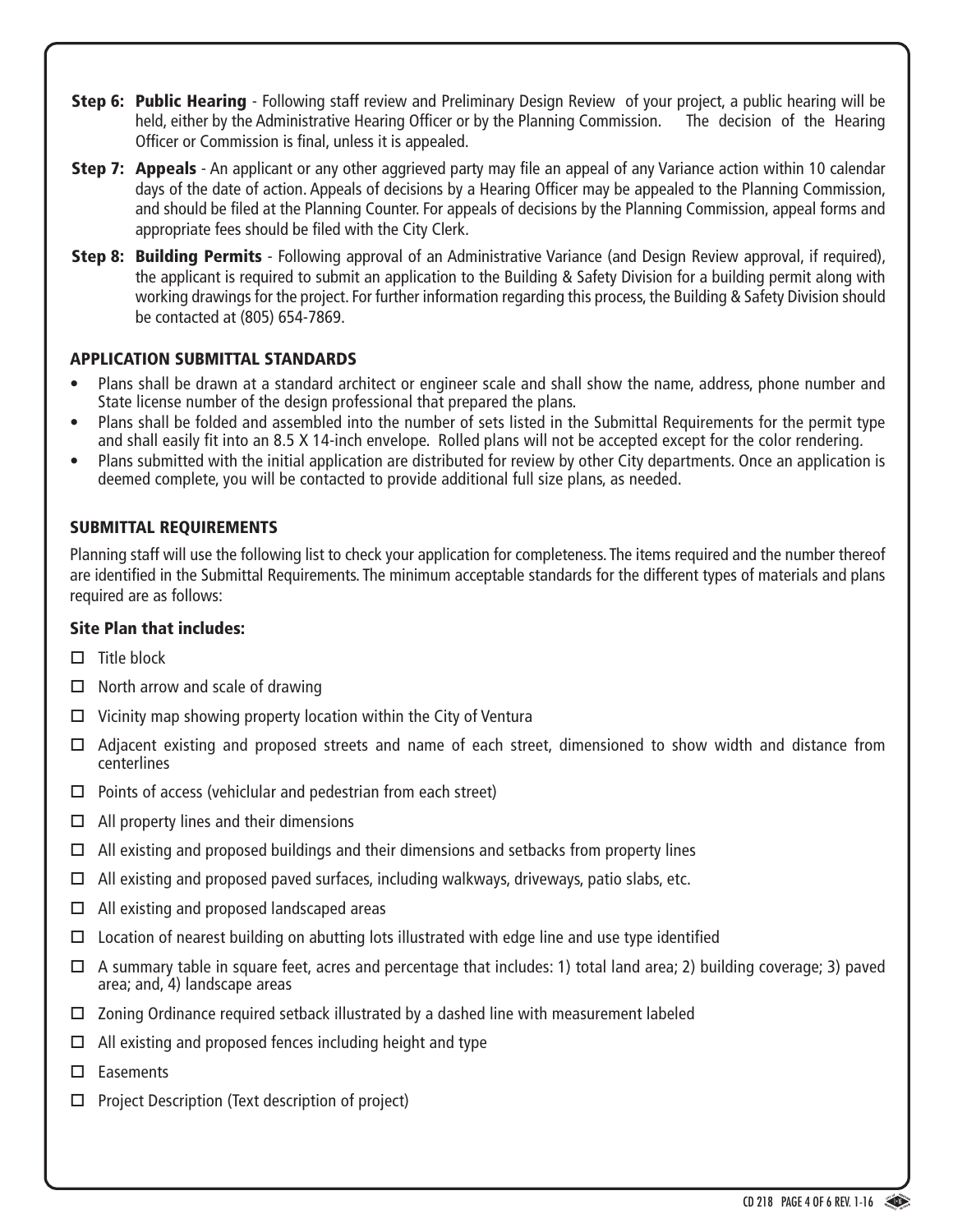- **Step 6: Public Hearing** Following staff review and Preliminary Design Review of your project, a public hearing will be held, either by the Administrative Hearing Officer or by the Planning Commission. The decision of the Hearing Officer or Commission is final, unless it is appealed.
- **Step 7: Appeals** An applicant or any other aggrieved party may file an appeal of any Variance action within 10 calendar days of the date of action. Appeals of decisions by a Hearing Officer may be appealed to the Planning Commission, and should be filed at the Planning Counter. For appeals of decisions by the Planning Commission, appeal forms and appropriate fees should be filed with the City Clerk.
- Step 8: Building Permits Following approval of an Administrative Variance (and Design Review approval, if required), the applicant is required to submit an application to the Building & Safety Division for a building permit along with working drawings for the project. For further information regarding this process, the Building & Safety Division should be contacted at (805) 654-7869.

# APPLICATION SUBMITTAL STANDARDS

- • Plans shall be drawn at a standard architect or engineer scale and shall show the name, address, phone number and State license number of the design professional that prepared the plans.
- Plans shall be folded and assembled into the number of sets listed in the Submittal Requirements for the permit type and shall easily fit into an 8.5 X 14-inch envelope. Rolled plans will not be accepted except for the color rendering.
- Plans submitted with the initial application are distributed for review by other City departments. Once an application is deemed complete, you will be contacted to provide additional full size plans, as needed.

#### SUBMITTAL REQUIREMENTS

Planning staff will use the following list to check your application for completeness. The items required and the number thereof are identified in the Submittal Requirements. The minimum acceptable standards for the different types of materials and plans required are as follows:

#### Site Plan that includes:

- $\Box$  Title block
- $\Box$  North arrow and scale of drawing
- $\Box$  Vicinity map showing property location within the City of Ventura
- Adjacent existing and proposed streets and name of each street, dimensioned to show width and distance from centerlines
- $\Box$  Points of access (vehiclular and pedestrian from each street)
- $\Box$  All property lines and their dimensions
- $\Box$  All existing and proposed buildings and their dimensions and setbacks from property lines
- $\Box$  All existing and proposed paved surfaces, including walkways, driveways, patio slabs, etc.
- $\Box$  All existing and proposed landscaped areas
- $\Box$  Location of nearest building on abutting lots illustrated with edge line and use type identified
- A summary table in square feet, acres and percentage that includes: 1) total land area; 2) building coverage; 3) paved area; and, 4) landscape areas
- $\Box$  Zoning Ordinance required setback illustrated by a dashed line with measurement labeled
- $\Box$  All existing and proposed fences including height and type
- □ Easements
- $\Box$  Project Description (Text description of project)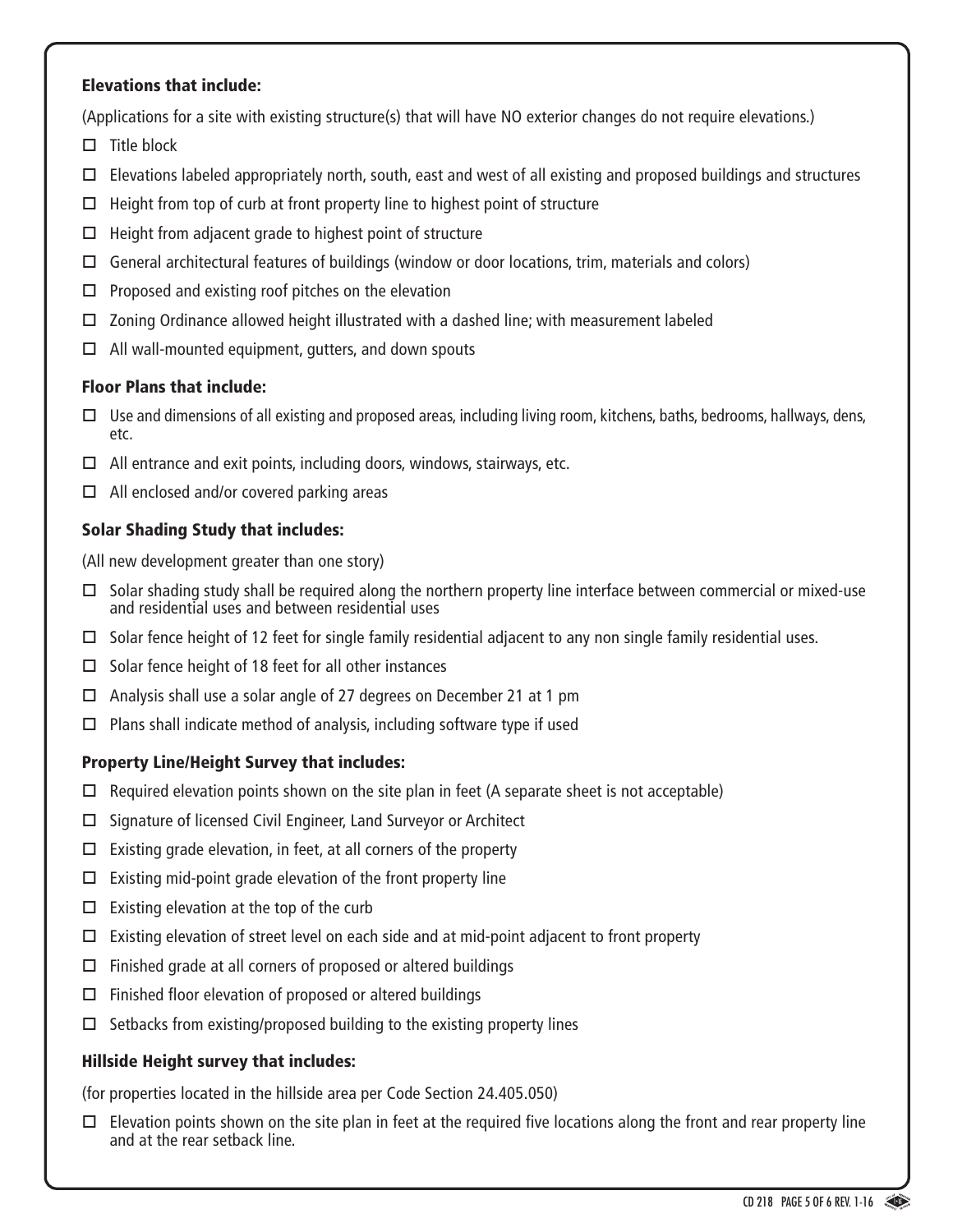#### Elevations that include:

(Applications for a site with existing structure(s) that will have NO exterior changes do not require elevations.)

- $\Box$  Title block
- $\Box$  Elevations labeled appropriately north, south, east and west of all existing and proposed buildings and structures
- $\Box$  Height from top of curb at front property line to highest point of structure
- $\Box$  Height from adjacent grade to highest point of structure
- $\Box$  General architectural features of buildings (window or door locations, trim, materials and colors)
- $\Box$  Proposed and existing roof pitches on the elevation
- $\Box$  Zoning Ordinance allowed height illustrated with a dashed line; with measurement labeled
- $\Box$  All wall-mounted equipment, gutters, and down spouts

#### Floor Plans that include:

- $\Box$  Use and dimensions of all existing and proposed areas, including living room, kitchens, baths, bedrooms, hallways, dens, etc.
- $\Box$  All entrance and exit points, including doors, windows, stairways, etc.
- $\Box$  All enclosed and/or covered parking areas

# Solar Shading Study that includes:

(All new development greater than one story)

- $\Box$  Solar shading study shall be required along the northern property line interface between commercial or mixed-use and residential uses and between residential uses
- $\Box$  Solar fence height of 12 feet for single family residential adjacent to any non single family residential uses.
- $\square$  Solar fence height of 18 feet for all other instances
- $\Box$  Analysis shall use a solar angle of 27 degrees on December 21 at 1 pm
- $\Box$  Plans shall indicate method of analysis, including software type if used

# Property Line/Height Survey that includes:

- $\Box$  Required elevation points shown on the site plan in feet (A separate sheet is not acceptable)
- $\Box$  Signature of licensed Civil Engineer, Land Surveyor or Architect
- $\Box$  Existing grade elevation, in feet, at all corners of the property
- $\Box$  Existing mid-point grade elevation of the front property line
- $\Box$  Existing elevation at the top of the curb
- $\Box$  Existing elevation of street level on each side and at mid-point adjacent to front property
- $\Box$  Finished grade at all corners of proposed or altered buildings
- $\Box$  Finished floor elevation of proposed or altered buildings
- $\Box$  Setbacks from existing/proposed building to the existing property lines

# Hillside Height survey that includes:

(for properties located in the hillside area per Code Section 24.405.050)

 $\Box$  Elevation points shown on the site plan in feet at the required five locations along the front and rear property line and at the rear setback line.